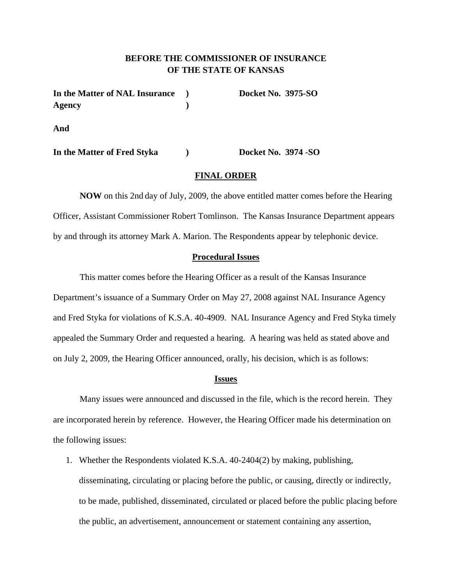# **BEFORE THE COMMISSIONER OF INSURANCE OF THE STATE OF KANSAS**

| In the Matter of NAL Insurance | <b>Docket No. 3975-SO</b> |
|--------------------------------|---------------------------|
| Agency                         |                           |
| And                            |                           |

**In the Matter of Fred Styka ) Docket No. 3974 -SO** 

#### **FINAL ORDER**

**NOW** on this 2nd day of July, 2009, the above entitled matter comes before the Hearing Officer, Assistant Commissioner Robert Tomlinson. The Kansas Insurance Department appears by and through its attorney Mark A. Marion. The Respondents appear by telephonic device.

## **Procedural Issues**

This matter comes before the Hearing Officer as a result of the Kansas Insurance Department's issuance of a Summary Order on May 27, 2008 against NAL Insurance Agency and Fred Styka for violations of K.S.A. 40-4909. NAL Insurance Agency and Fred Styka timely appealed the Summary Order and requested a hearing. A hearing was held as stated above and on July 2, 2009, the Hearing Officer announced, orally, his decision, which is as follows:

#### **Issues**

Many issues were announced and discussed in the file, which is the record herein. They are incorporated herein by reference. However, the Hearing Officer made his determination on the following issues:

1. Whether the Respondents violated K.S.A. 40-2404(2) by making, publishing, disseminating, circulating or placing before the public, or causing, directly or indirectly, to be made, published, disseminated, circulated or placed before the public placing before the public, an advertisement, announcement or statement containing any assertion,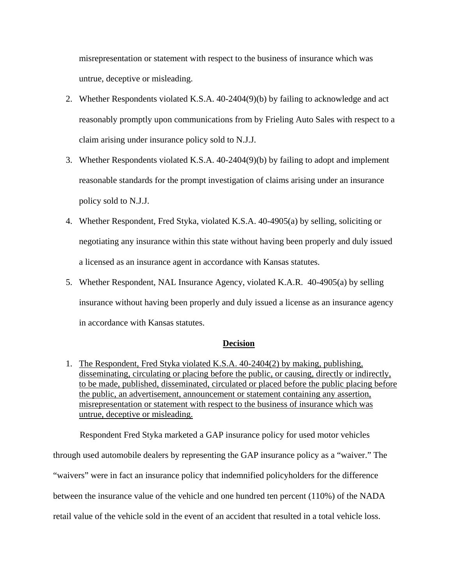misrepresentation or statement with respect to the business of insurance which was untrue, deceptive or misleading.

- 2. Whether Respondents violated K.S.A. 40-2404(9)(b) by failing to acknowledge and act reasonably promptly upon communications from by Frieling Auto Sales with respect to a claim arising under insurance policy sold to N.J.J.
- 3. Whether Respondents violated K.S.A. 40-2404(9)(b) by failing to adopt and implement reasonable standards for the prompt investigation of claims arising under an insurance policy sold to N.J.J.
- 4. Whether Respondent, Fred Styka, violated K.S.A. 40-4905(a) by selling, soliciting or negotiating any insurance within this state without having been properly and duly issued a licensed as an insurance agent in accordance with Kansas statutes.
- 5. Whether Respondent, NAL Insurance Agency, violated K.A.R. 40-4905(a) by selling insurance without having been properly and duly issued a license as an insurance agency in accordance with Kansas statutes.

## **Decision**

1. The Respondent, Fred Styka violated K.S.A. 40-2404(2) by making, publishing, disseminating, circulating or placing before the public, or causing, directly or indirectly, to be made, published, disseminated, circulated or placed before the public placing before the public, an advertisement, announcement or statement containing any assertion, misrepresentation or statement with respect to the business of insurance which was untrue, deceptive or misleading.

Respondent Fred Styka marketed a GAP insurance policy for used motor vehicles through used automobile dealers by representing the GAP insurance policy as a "waiver." The "waivers" were in fact an insurance policy that indemnified policyholders for the difference between the insurance value of the vehicle and one hundred ten percent (110%) of the NADA retail value of the vehicle sold in the event of an accident that resulted in a total vehicle loss.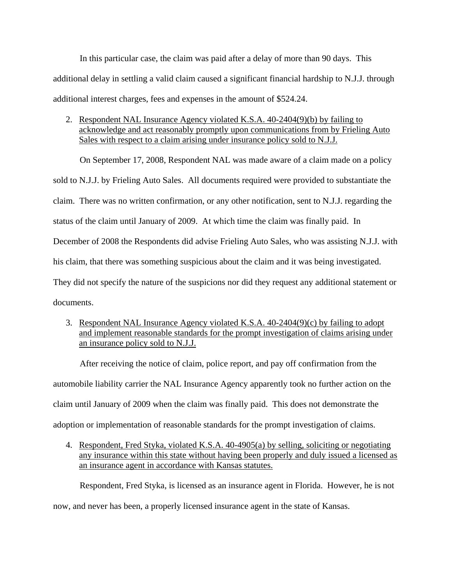In this particular case, the claim was paid after a delay of more than 90 days. This additional delay in settling a valid claim caused a significant financial hardship to N.J.J. through additional interest charges, fees and expenses in the amount of \$524.24.

2. Respondent NAL Insurance Agency violated K.S.A. 40-2404(9)(b) by failing to acknowledge and act reasonably promptly upon communications from by Frieling Auto Sales with respect to a claim arising under insurance policy sold to N.J.J.

On September 17, 2008, Respondent NAL was made aware of a claim made on a policy sold to N.J.J. by Frieling Auto Sales. All documents required were provided to substantiate the claim. There was no written confirmation, or any other notification, sent to N.J.J. regarding the status of the claim until January of 2009. At which time the claim was finally paid. In December of 2008 the Respondents did advise Frieling Auto Sales, who was assisting N.J.J. with his claim, that there was something suspicious about the claim and it was being investigated. They did not specify the nature of the suspicions nor did they request any additional statement or documents.

3. Respondent NAL Insurance Agency violated K.S.A. 40-2404(9)(c) by failing to adopt and implement reasonable standards for the prompt investigation of claims arising under an insurance policy sold to N.J.J.

After receiving the notice of claim, police report, and pay off confirmation from the automobile liability carrier the NAL Insurance Agency apparently took no further action on the claim until January of 2009 when the claim was finally paid. This does not demonstrate the adoption or implementation of reasonable standards for the prompt investigation of claims.

4. Respondent, Fred Styka, violated K.S.A. 40-4905(a) by selling, soliciting or negotiating any insurance within this state without having been properly and duly issued a licensed as an insurance agent in accordance with Kansas statutes.

Respondent, Fred Styka, is licensed as an insurance agent in Florida. However, he is not now, and never has been, a properly licensed insurance agent in the state of Kansas.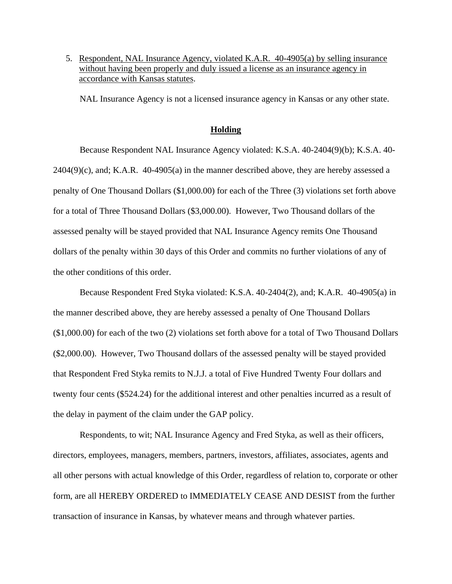5. Respondent, NAL Insurance Agency, violated K.A.R. 40-4905(a) by selling insurance without having been properly and duly issued a license as an insurance agency in accordance with Kansas statutes.

NAL Insurance Agency is not a licensed insurance agency in Kansas or any other state.

### **Holding**

Because Respondent NAL Insurance Agency violated: K.S.A. 40-2404(9)(b); K.S.A. 40-  $2404(9)$ (c), and; K.A.R.  $40-4905(a)$  in the manner described above, they are hereby assessed a penalty of One Thousand Dollars (\$1,000.00) for each of the Three (3) violations set forth above for a total of Three Thousand Dollars (\$3,000.00). However, Two Thousand dollars of the assessed penalty will be stayed provided that NAL Insurance Agency remits One Thousand dollars of the penalty within 30 days of this Order and commits no further violations of any of the other conditions of this order.

Because Respondent Fred Styka violated: K.S.A. 40-2404(2), and; K.A.R. 40-4905(a) in the manner described above, they are hereby assessed a penalty of One Thousand Dollars (\$1,000.00) for each of the two (2) violations set forth above for a total of Two Thousand Dollars (\$2,000.00). However, Two Thousand dollars of the assessed penalty will be stayed provided that Respondent Fred Styka remits to N.J.J. a total of Five Hundred Twenty Four dollars and twenty four cents (\$524.24) for the additional interest and other penalties incurred as a result of the delay in payment of the claim under the GAP policy.

Respondents, to wit; NAL Insurance Agency and Fred Styka, as well as their officers, directors, employees, managers, members, partners, investors, affiliates, associates, agents and all other persons with actual knowledge of this Order, regardless of relation to, corporate or other form, are all HEREBY ORDERED to IMMEDIATELY CEASE AND DESIST from the further transaction of insurance in Kansas, by whatever means and through whatever parties.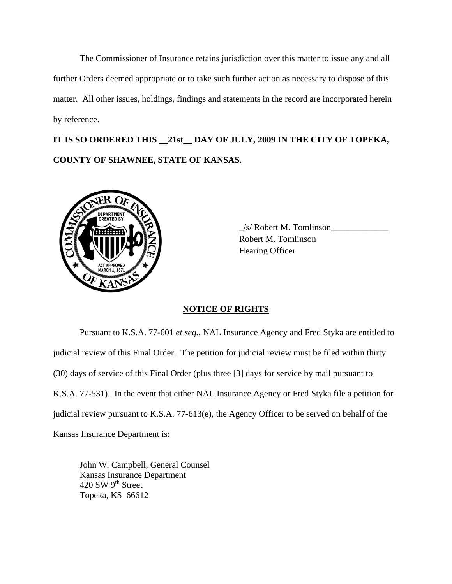The Commissioner of Insurance retains jurisdiction over this matter to issue any and all further Orders deemed appropriate or to take such further action as necessary to dispose of this matter. All other issues, holdings, findings and statements in the record are incorporated herein by reference.

**IT IS SO ORDERED THIS \_\_21st\_\_ DAY OF JULY, 2009 IN THE CITY OF TOPEKA, COUNTY OF SHAWNEE, STATE OF KANSAS.** 



 \_/s/ Robert M. Tomlinson\_\_\_\_\_\_\_\_\_\_\_\_\_ Robert M. Tomlinson Hearing Officer

## **NOTICE OF RIGHTS**

Pursuant to K.S.A. 77-601 *et seq.*, NAL Insurance Agency and Fred Styka are entitled to judicial review of this Final Order. The petition for judicial review must be filed within thirty (30) days of service of this Final Order (plus three [3] days for service by mail pursuant to K.S.A. 77-531). In the event that either NAL Insurance Agency or Fred Styka file a petition for judicial review pursuant to K.S.A. 77-613(e), the Agency Officer to be served on behalf of the Kansas Insurance Department is:

 John W. Campbell, General Counsel Kansas Insurance Department 420 SW 9<sup>th</sup> Street Topeka, KS 66612